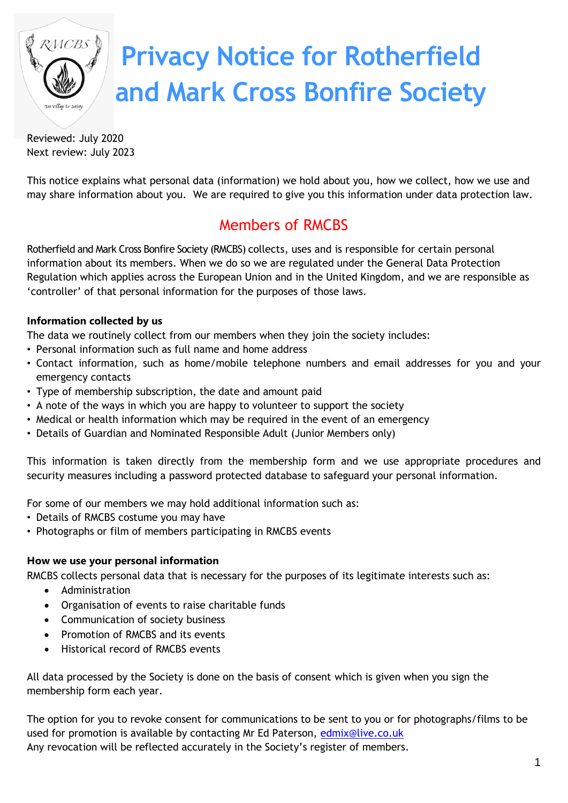

# **Privacy Notice for Rotherfield and Mark Cross Bonfire Society**

Reviewed: July 2020 Next review: July 2023

This notice explains what personal data (information) we hold about you, how we collect, how we use and may share information about you. We are required to give you this information under data protection law.

# Members of RMCBS

Rotherfield and Mark Cross Bonfire Society (RMCBS) collects, uses and is responsible for certain personal information about its members. When we do so we are regulated under the General Data Protection Regulation which applies across the European Union and in the United Kingdom, and we are responsible as 'controller' of that personal information for the purposes of those laws.

# **Information collected by us**

The data we routinely collect from our members when they join the society includes:

- Personal information such as full name and home address
- Contact information, such as home/mobile telephone numbers and email addresses for you and your emergency contacts
- Type of membership subscription, the date and amount paid
- A note of the ways in which you are happy to volunteer to support the society
- Medical or health information which may be required in the event of an emergency
- Details of Guardian and Nominated Responsible Adult (Junior Members only)

This information is taken directly from the membership form and we use appropriate procedures and security measures including a password protected database to safeguard your personal information.

For some of our members we may hold additional information such as:

- Details of RMCBS costume you may have
- Photographs or film of members participating in RMCBS events

# **How we use your personal information**

RMCBS collects personal data that is necessary for the purposes of its legitimate interests such as:

- Administration
- Organisation of events to raise charitable funds
- Communication of society business
- Promotion of RMCBS and its events
- Historical record of RMCBS events

All data processed by the Society is done on the basis of consent which is given when you sign the membership form each year.

The option for you to revoke consent for communications to be sent to you or for photographs/films to be used for promotion is available by contacting Mr Ed Paterson, [edmix@live.co.uk](mailto:edmix@live.co.uk) Any revocation will be reflected accurately in the Society's register of members.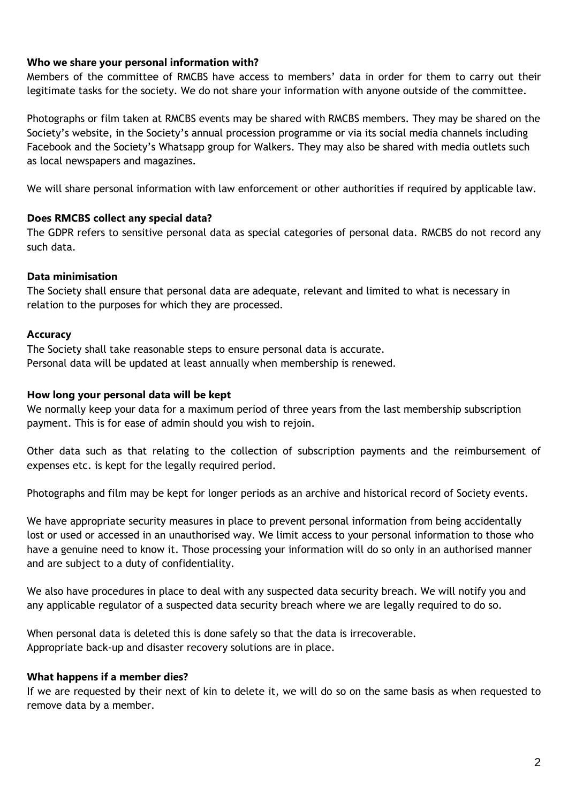## **Who we share your personal information with?**

Members of the committee of RMCBS have access to members' data in order for them to carry out their legitimate tasks for the society. We do not share your information with anyone outside of the committee.

Photographs or film taken at RMCBS events may be shared with RMCBS members. They may be shared on the Society's website, in the Society's annual procession programme or via its social media channels including Facebook and the Society's Whatsapp group for Walkers. They may also be shared with media outlets such as local newspapers and magazines.

We will share personal information with law enforcement or other authorities if required by applicable law.

### **Does RMCBS collect any special data?**

The GDPR refers to sensitive personal data as special categories of personal data. RMCBS do not record any such data.

### **Data minimisation**

The Society shall ensure that personal data are adequate, relevant and limited to what is necessary in relation to the purposes for which they are processed.

### **Accuracy**

The Society shall take reasonable steps to ensure personal data is accurate. Personal data will be updated at least annually when membership is renewed.

#### **How long your personal data will be kept**

We normally keep your data for a maximum period of three years from the last membership subscription payment. This is for ease of admin should you wish to rejoin.

Other data such as that relating to the collection of subscription payments and the reimbursement of expenses etc. is kept for the legally required period.

Photographs and film may be kept for longer periods as an archive and historical record of Society events.

We have appropriate security measures in place to prevent personal information from being accidentally lost or used or accessed in an unauthorised way. We limit access to your personal information to those who have a genuine need to know it. Those processing your information will do so only in an authorised manner and are subject to a duty of confidentiality.

We also have procedures in place to deal with any suspected data security breach. We will notify you and any applicable regulator of a suspected data security breach where we are legally required to do so.

When personal data is deleted this is done safely so that the data is irrecoverable. Appropriate back-up and disaster recovery solutions are in place.

# **What happens if a member dies?**

If we are requested by their next of kin to delete it, we will do so on the same basis as when requested to remove data by a member.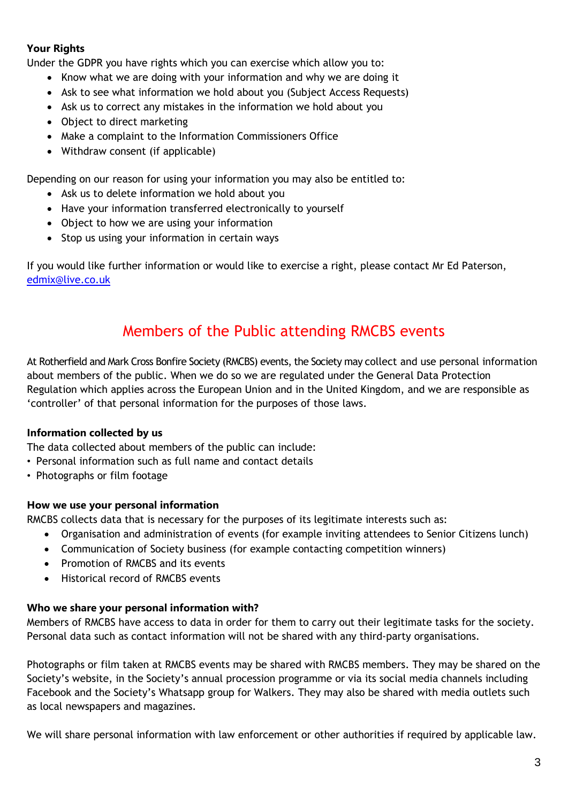# **Your Rights**

Under the GDPR you have rights which you can exercise which allow you to:

- Know what we are doing with your information and why we are doing it
- Ask to see what information we hold about you (Subject Access Requests)
- Ask us to correct any mistakes in the information we hold about you
- Object to direct marketing
- Make a complaint to the Information Commissioners Office
- Withdraw consent (if applicable)

Depending on our reason for using your information you may also be entitled to:

- Ask us to delete information we hold about you
- Have your information transferred electronically to yourself
- Object to how we are using your information
- Stop us using your information in certain ways

If you would like further information or would like to exercise a right, please contact Mr Ed Paterson, [edmix@live.co.uk](mailto:edmix@live.co.uk)

# Members of the Public attending RMCBS events

At Rotherfield and Mark Cross Bonfire Society (RMCBS) events, the Society may collect and use personal information about members of the public. When we do so we are regulated under the General Data Protection Regulation which applies across the European Union and in the United Kingdom, and we are responsible as 'controller' of that personal information for the purposes of those laws.

# **Information collected by us**

The data collected about members of the public can include:

- Personal information such as full name and contact details
- Photographs or film footage

#### **How we use your personal information**

RMCBS collects data that is necessary for the purposes of its legitimate interests such as:

- Organisation and administration of events (for example inviting attendees to Senior Citizens lunch)
- Communication of Society business (for example contacting competition winners)
- Promotion of RMCBS and its events
- Historical record of RMCBS events

#### **Who we share your personal information with?**

Members of RMCBS have access to data in order for them to carry out their legitimate tasks for the society. Personal data such as contact information will not be shared with any third-party organisations.

Photographs or film taken at RMCBS events may be shared with RMCBS members. They may be shared on the Society's website, in the Society's annual procession programme or via its social media channels including Facebook and the Society's Whatsapp group for Walkers. They may also be shared with media outlets such as local newspapers and magazines.

We will share personal information with law enforcement or other authorities if required by applicable law.